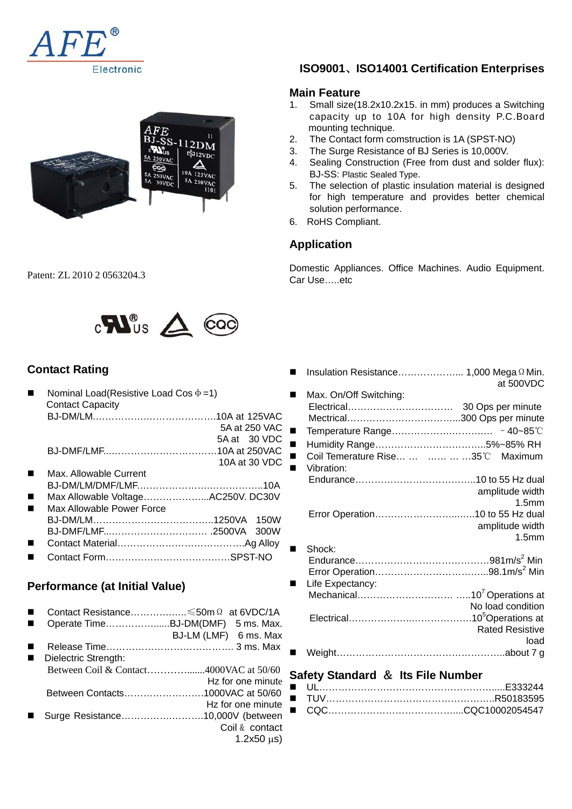



 **ISO9001**、**ISO14001 Certification Enterprises**

#### **Main Feature**

- 1. Small size(18.2x10.2x15. in mm) produces a Switching capacity up to 10A for high density P.C.Board mounting technique.
- 2. The Contact form comstruction is 1A (SPST-NO)
- 3. The Surge Resistance of BJ Series is 10,000V.
- 4. Sealing Construction (Free from dust and solder flux): BJ-SS: Plastic Sealed Type.
- 5. The selection of plastic insulation material is designed for high temperature and provides better chemical solution performance.
- 6. RoHS Compliant.

## **Application**

Domestic Appliances. Office Machines. Audio Equipment. Car Use…..etc

Patent: ZL 2010 2 0563204.3



## **Contact Rating**

- Nominal Load(Resistive Load Cos  $\Phi$ =1) Contact Capacity BJ-DM/LM.…………….………………….10A at 125VAC
	- 5A at 250 VAC 5A at 30 VDC
	- BJ-DMF/LMF...……………………………10A at 250VAC
- 10A at 30 VDC Max. Allowable Current BJ-DM/LM/DMF/LMF.………………….……………..10A
- Max Allowable Voltage………………...AC250V. DC30V
- Max Allowable Power Force BJ-DM/LM………………………………..1250VA 150W BJ-DMF/LMF...………………………… .2500VA 300W
- Contact Material………………………………….Ag Alloy
- Contact Form…………………………………SPST-NO

## **Performance (at Initial Value)**

Contact Resistance………….…..≤50mΩ at 6VDC/1A

- Operate Time.........................BJ-DM(DMF) 5 ms. Max.
- BJ-LM (LMF) 6 ms. Max Release Time…………………………………. 3 ms. Max
- Dielectric Strength:
- Between Coil & Contact………….......4000VAC at 50/60 Hz for one minute Between Contacts…………………….1000VAC at 50/60 Hz for one minute
- Surge Resistance…………….……….10,000V (between Coil & contact 1.2x50 μs)

|                                                    | at 500VDC              |
|----------------------------------------------------|------------------------|
| Max. On/Off Switching:                             |                        |
|                                                    |                        |
|                                                    |                        |
|                                                    |                        |
|                                                    |                        |
|                                                    |                        |
| Coil Temerature Rise    35°C Maximum<br>Vibration: |                        |
|                                                    |                        |
|                                                    | amplitude width        |
|                                                    | 1.5 <sub>mm</sub>      |
|                                                    |                        |
|                                                    | amplitude width        |
|                                                    | 1.5 <sub>mm</sub>      |
| Shock:                                             |                        |
|                                                    |                        |
|                                                    |                        |
| Life Expectancy:                                   |                        |
|                                                    |                        |
|                                                    | No load condition      |
|                                                    |                        |
|                                                    |                        |
|                                                    | <b>Rated Resistive</b> |
|                                                    | load                   |
|                                                    |                        |
|                                                    |                        |

#### **Safety Standard** & **Its File Number**